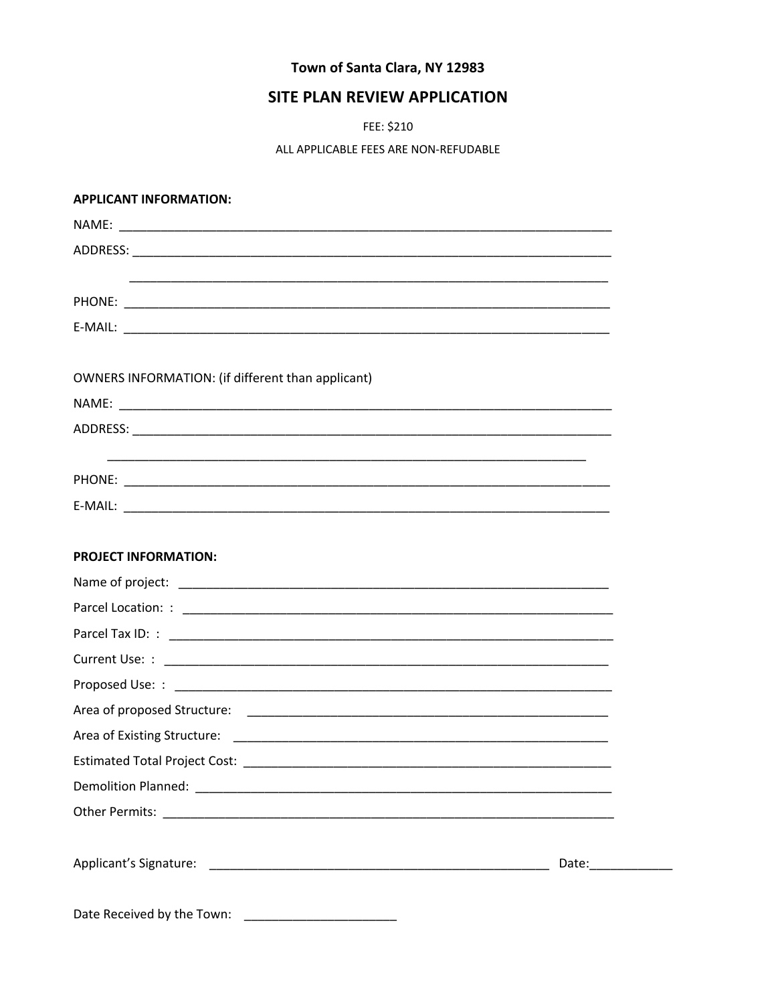# Town of Santa Clara, NY 12983

# SITE PLAN REVIEW APPLICATION

FEE: \$210

ALL APPLICABLE FEES ARE NON-REFUDABLE

#### **APPLICANT INFORMATION:**

| OWNERS INFORMATION: (if different than applicant) |                      |
|---------------------------------------------------|----------------------|
|                                                   |                      |
|                                                   |                      |
|                                                   |                      |
|                                                   |                      |
|                                                   |                      |
|                                                   |                      |
| <b>PROJECT INFORMATION:</b>                       |                      |
|                                                   |                      |
|                                                   |                      |
|                                                   |                      |
|                                                   |                      |
|                                                   |                      |
|                                                   |                      |
|                                                   |                      |
|                                                   |                      |
|                                                   |                      |
|                                                   |                      |
|                                                   |                      |
|                                                   | Date: ______________ |
|                                                   |                      |
| Date Received by the Town:                        |                      |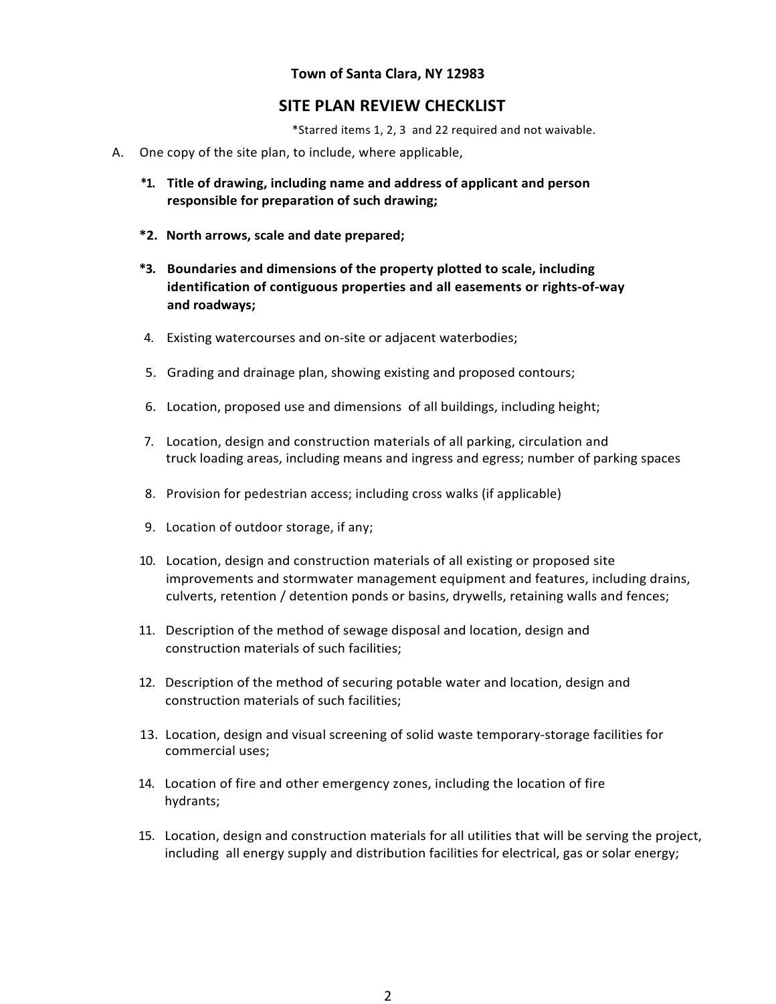#### **Town of Santa Clara, NY 12983**

### **SITE PLAN REVIEW CHECKLIST**

\*Starred items 1, 2, 3 and 22 required and not waivable.

- A. One copy of the site plan, to include, where applicable,
	- **\*1. Title of drawing, including name and address of applicant and person responsible for preparation of such drawing;**
	- **\*2. North arrows, scale and date prepared;**
	- **\*3. Boundaries and dimensions of the property plotted to scale, including identification of contiguous properties and all easements or rights-of-way and roadways;**
	- 4. Existing watercourses and on-site or adjacent waterbodies;
	- 5. Grading and drainage plan, showing existing and proposed contours;
	- 6. Location, proposed use and dimensions of all buildings, including height;
	- 7. Location, design and construction materials of all parking, circulation and truck loading areas, including means and ingress and egress; number of parking spaces
	- 8. Provision for pedestrian access; including cross walks (if applicable)
	- 9. Location of outdoor storage, if any;
	- 10. Location, design and construction materials of all existing or proposed site improvements and stormwater management equipment and features, including drains, culverts, retention / detention ponds or basins, drywells, retaining walls and fences;
	- 11. Description of the method of sewage disposal and location, design and construction materials of such facilities;
	- 12. Description of the method of securing potable water and location, design and construction materials of such facilities;
	- 13. Location, design and visual screening of solid waste temporary-storage facilities for commercial uses;
	- 14. Location of fire and other emergency zones, including the location of fire hydrants;
	- 15. Location, design and construction materials for all utilities that will be serving the project, including all energy supply and distribution facilities for electrical, gas or solar energy;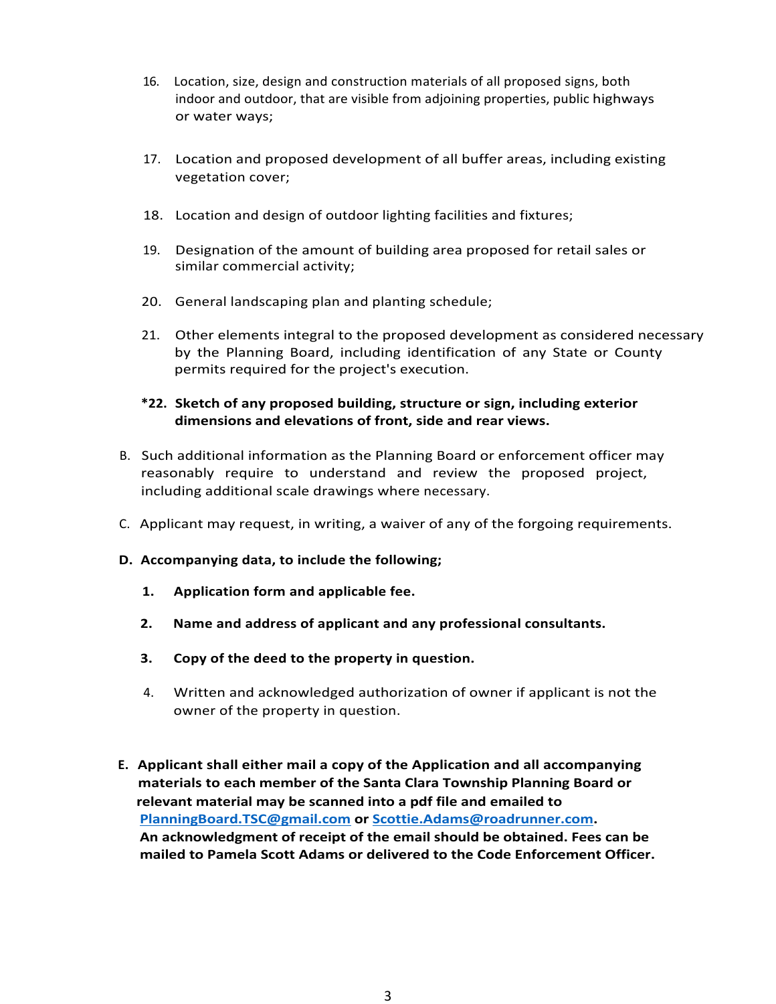- 16. Location, size, design and construction materials of all proposed signs, both indoor and outdoor, that are visible from adjoining properties, public highways or water ways;
- 17. Location and proposed development of all buffer areas, including existing vegetation cover;
- 18. Location and design of outdoor lighting facilities and fixtures;
- 19. Designation of the amount of building area proposed for retail sales or similar commercial activity;
- 20. General landscaping plan and planting schedule;
- 21. Other elements integral to the proposed development as considered necessary by the Planning Board, including identification of any State or County permits required for the project's execution.

### **\*22. Sketch of any proposed building, structure or sign, including exterior dimensions and elevations of front, side and rear views.**

- B. Such additional information as the Planning Board or enforcement officer may reasonably require to understand and review the proposed project, including additional scale drawings where necessary.
- C. Applicant may request, in writing, a waiver of any of the forgoing requirements.
- **D. Accompanying data, to include the following;**
	- **1. Application form and applicable fee.**
	- **2. Name and address of applicant and any professional consultants.**
	- **3. Copy of the deed to the property in question.**
	- 4. Written and acknowledged authorization of owner if applicant is not the owner of the property in question.
- **E. Applicant shall either mail a copy of the Application and all accompanying materials to each member of the Santa Clara Township Planning Board or relevant material may be scanned into a pdf file and emailed to PlanningBoard.TSC@gmail.com or Scottie.Adams@roadrunner.com. An acknowledgment of receipt of the email should be obtained. Fees can be mailed to Pamela Scott Adams or delivered to the Code Enforcement Officer.**